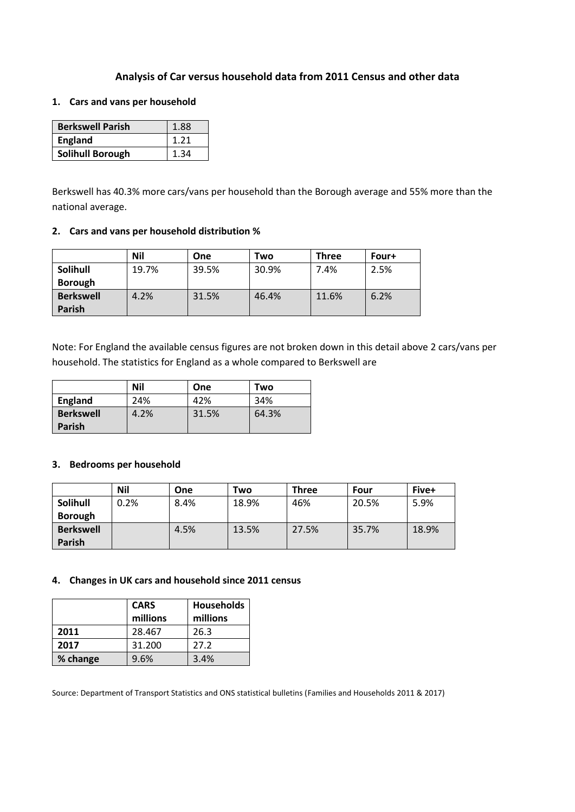# **Analysis of Car versus household data from 2011 Census and other data**

# **1. Cars and vans per household**

| <b>Berkswell Parish</b> | 1.88 |
|-------------------------|------|
| <b>England</b>          | 1.21 |
| <b>Solihull Borough</b> | 1.34 |

Berkswell has 40.3% more cars/vans per household than the Borough average and 55% more than the national average.

### **2. Cars and vans per household distribution %**

|                  | <b>Nil</b> | One   | Two   | Three | Four+ |
|------------------|------------|-------|-------|-------|-------|
| Solihull         | 19.7%      | 39.5% | 30.9% | 7.4%  | 2.5%  |
| <b>Borough</b>   |            |       |       |       |       |
| <b>Berkswell</b> | 4.2%       | 31.5% | 46.4% | 11.6% | 6.2%  |
| <b>Parish</b>    |            |       |       |       |       |

Note: For England the available census figures are not broken down in this detail above 2 cars/vans per household. The statistics for England as a whole compared to Berkswell are

|                  | Nil  | One   | Two   |
|------------------|------|-------|-------|
| <b>England</b>   | 24%  | 42%   | 34%   |
| <b>Berkswell</b> | 4.2% | 31.5% | 64.3% |
| <b>Parish</b>    |      |       |       |

# **3. Bedrooms per household**

|                  | <b>Nil</b> | One  | Two   | <b>Three</b> | Four  | Five+ |
|------------------|------------|------|-------|--------------|-------|-------|
| <b>Solihull</b>  | 0.2%       | 8.4% | 18.9% | 46%          | 20.5% | 5.9%  |
| <b>Borough</b>   |            |      |       |              |       |       |
| <b>Berkswell</b> |            | 4.5% | 13.5% | 27.5%        | 35.7% | 18.9% |
| Parish           |            |      |       |              |       |       |

# **4. Changes in UK cars and household since 2011 census**

|          | <b>CARS</b> | <b>Households</b> |  |
|----------|-------------|-------------------|--|
|          | millions    | millions          |  |
| 2011     | 28.467      | 26.3              |  |
| 2017     | 31.200      | 27.2              |  |
| % change | 9.6%        | 3.4%              |  |

Source: Department of Transport Statistics and ONS statistical bulletins (Families and Households 2011 & 2017)